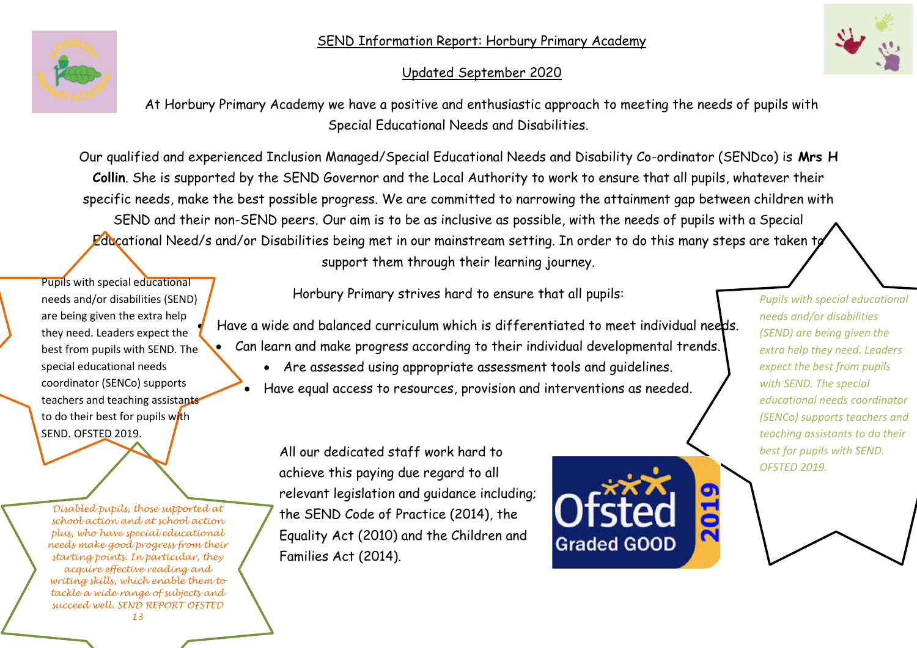# SEND Information Report: Horbury Primary Academy



# Updated September 2020



At Horbury Primary Academy we have a positive and enthusiastic approach to meeting the needs of pupils with Special Educational Needs and Disabilities.

Our qualified and experienced Inclusion Managed/Special Educational Needs and Disability Co-ordinator (SENDco) is **Mrs H Collin**. She is supported by the SEND Governor and the Local Authority to work to ensure that all pupils, whatever their specific needs, make the best possible progress. We are committed to narrowing the attainment gap between children with SEND and their non-SEND peers. Our aim is to be as inclusive as possible, with the needs of pupils with a Special Educational Need/s and/or Disabilities being met in our mainstream setting. In order to do this many steps are taken to support them through their learning journey.

Pupils with special educational needs and/or disabilities (SEND) are being given the extra help they need. Leaders expect the best from pupils with SEND. The special educational needs coordinator (SENCo) supports teachers and teaching assistants to do their best for pupils with SEND. OFSTED 2019.

*Disabled pupils, those supported at school action and at school action plus, who have special educational needs make good progress from their starting points. In particular, they acquire effective reading and writing skills, which enable them to tackle a wide range of subjects and succeed well. SEND REPORT OFSTED 13*

Horbury Primary strives hard to ensure that all pupils:

 Have a wide and balanced curriculum which is differentiated to meet individual needs. Can learn and make progress according to their individual developmental trends.

- Are assessed using appropriate assessment tools and guidelines.
- Have equal access to resources, provision and interventions as needed.

All our dedicated staff work hard to achieve this paying due regard to all relevant legislation and guidance including; the SEND Code of Practice (2014), the Equality Act (2010) and the Children and Families Act (2014).



*Pupils with special educational needs and/or disabilities (SEND) are being given the extra help they need. Leaders expect the best from pupils with SEND. The special educational needs coordinator (SENCo) supports teachers and teaching assistants to do their best for pupils with SEND. OFSTED 2019.*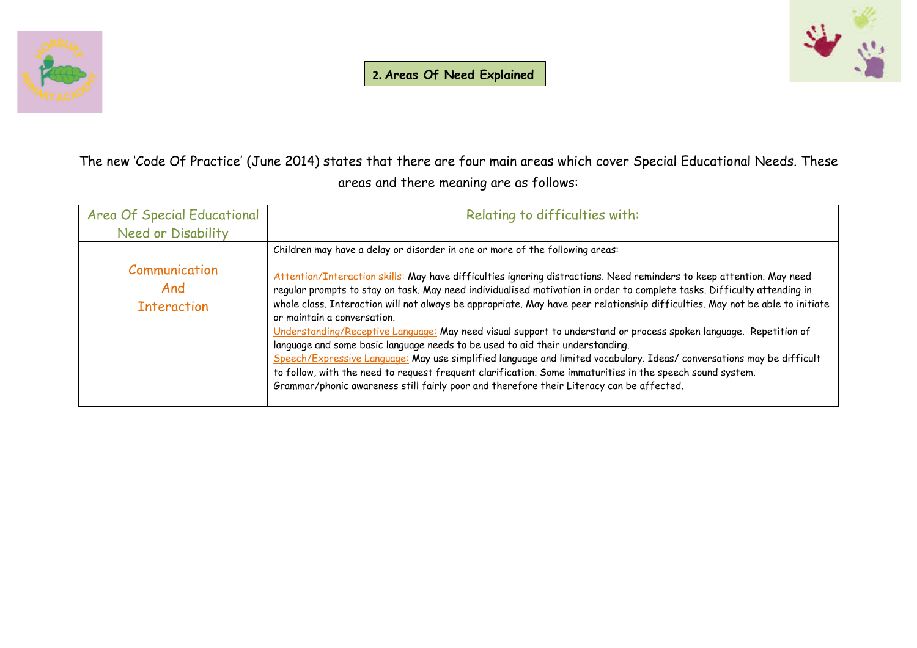



The new 'Code Of Practice' (June 2014) states that there are four main areas which cover Special Educational Needs. These areas and there meaning are as follows:

| Area Of Special Educational                | Relating to difficulties with:                                                                                                                                                                                                                                                                                                                                                                                                                                                                                                                                                                                                                                                                                                                                                                                                                                                                                                                           |
|--------------------------------------------|----------------------------------------------------------------------------------------------------------------------------------------------------------------------------------------------------------------------------------------------------------------------------------------------------------------------------------------------------------------------------------------------------------------------------------------------------------------------------------------------------------------------------------------------------------------------------------------------------------------------------------------------------------------------------------------------------------------------------------------------------------------------------------------------------------------------------------------------------------------------------------------------------------------------------------------------------------|
| Need or Disability                         |                                                                                                                                                                                                                                                                                                                                                                                                                                                                                                                                                                                                                                                                                                                                                                                                                                                                                                                                                          |
|                                            | Children may have a delay or disorder in one or more of the following areas:                                                                                                                                                                                                                                                                                                                                                                                                                                                                                                                                                                                                                                                                                                                                                                                                                                                                             |
| Communication<br>And<br><b>Interaction</b> | Attention/Interaction skills: May have difficulties ignoring distractions. Need reminders to keep attention. May need<br>regular prompts to stay on task. May need individualised motivation in order to complete tasks. Difficulty attending in<br>whole class. Interaction will not always be appropriate. May have peer relationship difficulties. May not be able to initiate<br>or maintain a conversation.<br>Understanding/Receptive Language: May need visual support to understand or process spoken language. Repetition of<br>language and some basic language needs to be used to aid their understanding.<br>Speech/Expressive Language: May use simplified language and limited vocabulary. Ideas/ conversations may be difficult<br>to follow, with the need to request frequent clarification. Some immaturities in the speech sound system.<br>Grammar/phonic awareness still fairly poor and therefore their Literacy can be affected. |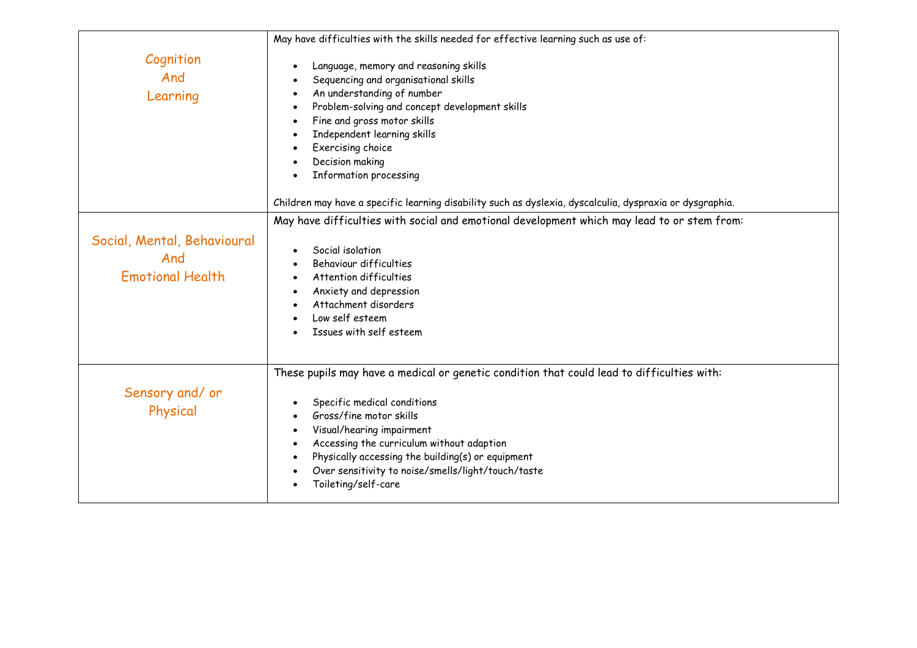|                                                               | May have difficulties with the skills needed for effective learning such as use of:                                                                                                                                                                                                                                                                                                                     |
|---------------------------------------------------------------|---------------------------------------------------------------------------------------------------------------------------------------------------------------------------------------------------------------------------------------------------------------------------------------------------------------------------------------------------------------------------------------------------------|
| Cognition<br>And<br>Learning                                  | Language, memory and reasoning skills<br>$\bullet$<br>Sequencing and organisational skills<br>An understanding of number<br>$\bullet$<br>Problem-solving and concept development skills<br>$\bullet$<br>Fine and gross motor skills<br>$\bullet$<br>Independent learning skills<br>Exercising choice<br>$\bullet$<br>Decision making<br>Information processing<br>$\bullet$                             |
|                                                               | Children may have a specific learning disability such as dyslexia, dyscalculia, dyspraxia or dysgraphia.                                                                                                                                                                                                                                                                                                |
| Social, Mental, Behavioural<br>And<br><b>Emotional Health</b> | May have difficulties with social and emotional development which may lead to or stem from:<br>Social isolation<br>$\bullet$<br>Behaviour difficulties<br>Attention difficulties<br>Anxiety and depression<br>Attachment disorders<br>Low self esteem<br>Issues with self esteem                                                                                                                        |
| Sensory and/ or<br>Physical                                   | These pupils may have a medical or genetic condition that could lead to difficulties with:<br>Specific medical conditions<br>Gross/fine motor skills<br>Visual/hearing impairment<br>$\bullet$<br>Accessing the curriculum without adaption<br>$\bullet$<br>Physically accessing the building(s) or equipment<br>$\bullet$<br>Over sensitivity to noise/smells/light/touch/taste<br>Toileting/self-care |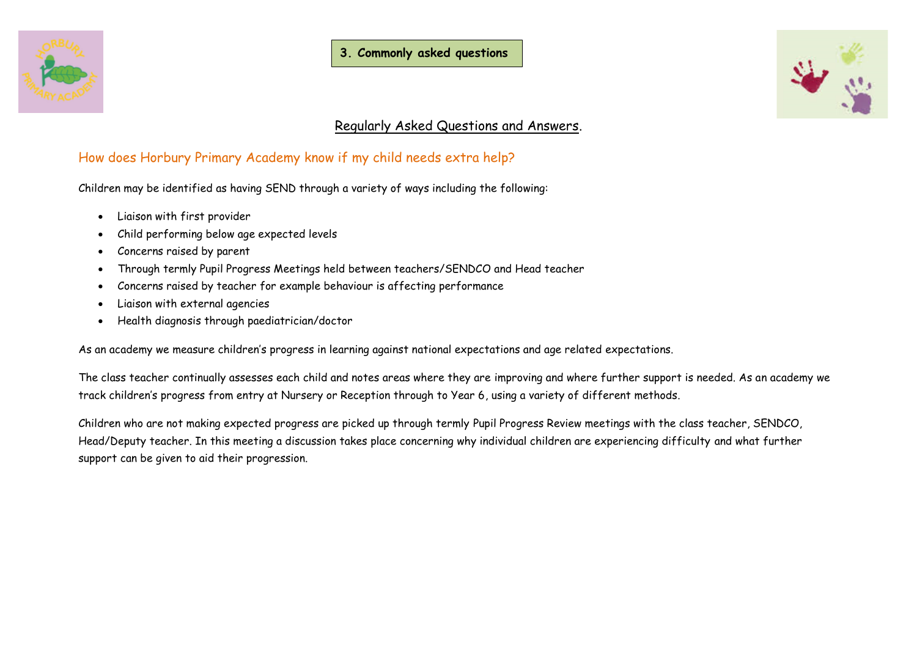



# Regularly Asked Questions and Answers.

# How does Horbury Primary Academy know if my child needs extra help?

Children may be identified as having SEND through a variety of ways including the following:

- Liaison with first provider
- Child performing below age expected levels
- Concerns raised by parent
- Through termly Pupil Progress Meetings held between teachers/SENDCO and Head teacher
- Concerns raised by teacher for example behaviour is affecting performance
- Liaison with external agencies
- Health diagnosis through paediatrician/doctor

As an academy we measure children's progress in learning against national expectations and age related expectations.

The class teacher continually assesses each child and notes areas where they are improving and where further support is needed. As an academy we track children's progress from entry at Nursery or Reception through to Year 6, using a variety of different methods.

Children who are not making expected progress are picked up through termly Pupil Progress Review meetings with the class teacher, SENDCO, Head/Deputy teacher. In this meeting a discussion takes place concerning why individual children are experiencing difficulty and what further support can be given to aid their progression.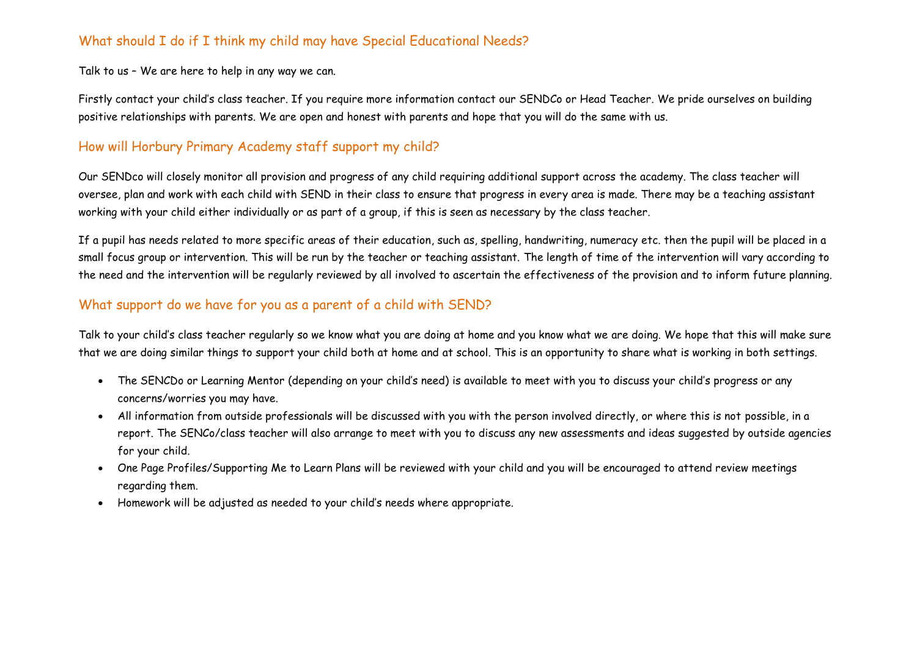# What should I do if I think my child may have Special Educational Needs?

Talk to us – We are here to help in any way we can.

Firstly contact your child's class teacher. If you require more information contact our SENDCo or Head Teacher. We pride ourselves on building positive relationships with parents. We are open and honest with parents and hope that you will do the same with us.

# How will Horbury Primary Academy staff support my child?

Our SENDco will closely monitor all provision and progress of any child requiring additional support across the academy. The class teacher will oversee, plan and work with each child with SEND in their class to ensure that progress in every area is made. There may be a teaching assistant working with your child either individually or as part of a group, if this is seen as necessary by the class teacher.

If a pupil has needs related to more specific areas of their education, such as, spelling, handwriting, numeracy etc. then the pupil will be placed in a small focus group or intervention. This will be run by the teacher or teaching assistant. The length of time of the intervention will vary according to the need and the intervention will be regularly reviewed by all involved to ascertain the effectiveness of the provision and to inform future planning.

# What support do we have for you as a parent of a child with SEND?

Talk to your child's class teacher regularly so we know what you are doing at home and you know what we are doing. We hope that this will make sure that we are doing similar things to support your child both at home and at school. This is an opportunity to share what is working in both settings.

- The SENCDo or Learning Mentor (depending on your child's need) is available to meet with you to discuss your child's progress or any concerns/worries you may have.
- All information from outside professionals will be discussed with you with the person involved directly, or where this is not possible, in a report. The SENCo/class teacher will also arrange to meet with you to discuss any new assessments and ideas suggested by outside agencies for your child.
- One Page Profiles/Supporting Me to Learn Plans will be reviewed with your child and you will be encouraged to attend review meetings regarding them.
- Homework will be adjusted as needed to your child's needs where appropriate.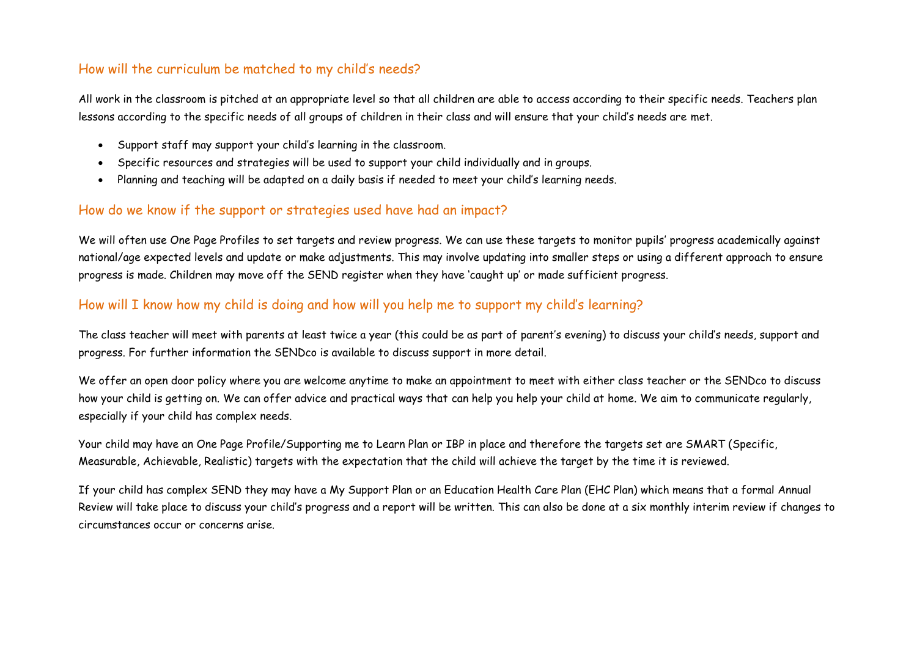# How will the curriculum be matched to my child's needs?

All work in the classroom is pitched at an appropriate level so that all children are able to access according to their specific needs. Teachers plan lessons according to the specific needs of all groups of children in their class and will ensure that your child's needs are met.

- Support staff may support your child's learning in the classroom.
- Specific resources and strategies will be used to support your child individually and in groups.
- Planning and teaching will be adapted on a daily basis if needed to meet your child's learning needs.

# How do we know if the support or strategies used have had an impact?

We will often use One Page Profiles to set targets and review progress. We can use these targets to monitor pupils' progress academically against national/age expected levels and update or make adjustments. This may involve updating into smaller steps or using a different approach to ensure progress is made. Children may move off the SEND register when they have 'caught up' or made sufficient progress.

# How will I know how my child is doing and how will you help me to support my child's learning?

The class teacher will meet with parents at least twice a year (this could be as part of parent's evening) to discuss your child's needs, support and progress. For further information the SENDco is available to discuss support in more detail.

We offer an open door policy where you are welcome anytime to make an appointment to meet with either class teacher or the SENDco to discuss how your child is getting on. We can offer advice and practical ways that can help you help your child at home. We aim to communicate regularly, especially if your child has complex needs.

Your child may have an One Page Profile/Supporting me to Learn Plan or IBP in place and therefore the targets set are SMART (Specific, Measurable, Achievable, Realistic) targets with the expectation that the child will achieve the target by the time it is reviewed.

If your child has complex SEND they may have a My Support Plan or an Education Health Care Plan (EHC Plan) which means that a formal Annual Review will take place to discuss your child's progress and a report will be written. This can also be done at a six monthly interim review if changes to circumstances occur or concerns arise.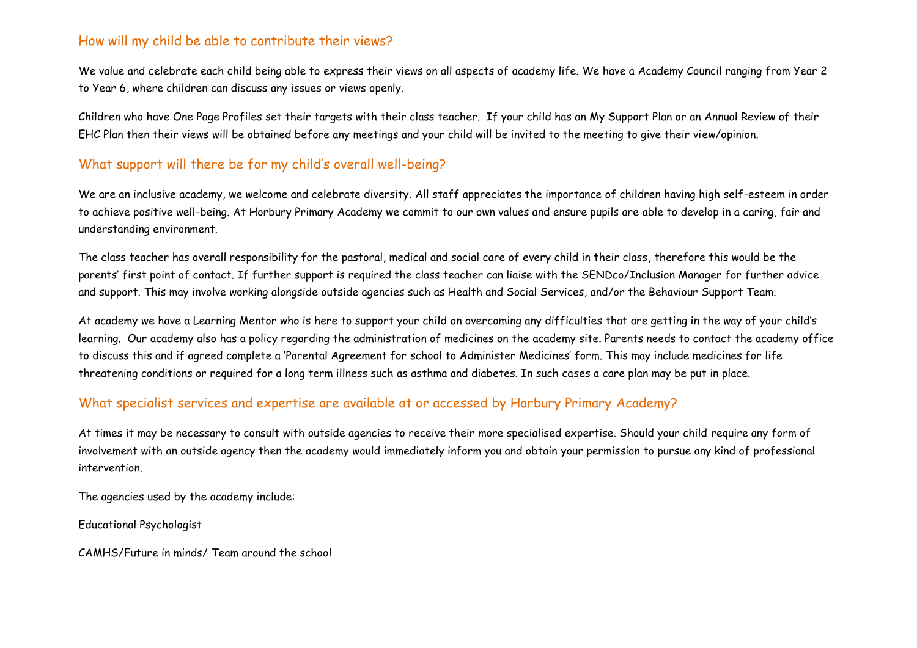#### How will my child be able to contribute their views?

We value and celebrate each child being able to express their views on all aspects of academy life. We have a Academy Council ranging from Year 2 to Year 6, where children can discuss any issues or views openly.

Children who have One Page Profiles set their targets with their class teacher. If your child has an My Support Plan or an Annual Review of their EHC Plan then their views will be obtained before any meetings and your child will be invited to the meeting to give their view/opinion.

# What support will there be for my child's overall well-being?

We are an inclusive academy, we welcome and celebrate diversity. All staff appreciates the importance of children having high self-esteem in order to achieve positive well-being. At Horbury Primary Academy we commit to our own values and ensure pupils are able to develop in a caring, fair and understanding environment.

The class teacher has overall responsibility for the pastoral, medical and social care of every child in their class, therefore this would be the parents' first point of contact. If further support is required the class teacher can liaise with the SENDco/Inclusion Manager for further advice and support. This may involve working alongside outside agencies such as Health and Social Services, and/or the Behaviour Support Team.

At academy we have a Learning Mentor who is here to support your child on overcoming any difficulties that are getting in the way of your child's learning. Our academy also has a policy regarding the administration of medicines on the academy site. Parents needs to contact the academy office to discuss this and if agreed complete a 'Parental Agreement for school to Administer Medicines' form. This may include medicines for life threatening conditions or required for a long term illness such as asthma and diabetes. In such cases a care plan may be put in place.

#### What specialist services and expertise are available at or accessed by Horbury Primary Academy?

At times it may be necessary to consult with outside agencies to receive their more specialised expertise. Should your child require any form of involvement with an outside agency then the academy would immediately inform you and obtain your permission to pursue any kind of professional intervention.

The agencies used by the academy include:

Educational Psychologist

CAMHS/Future in minds/ Team around the school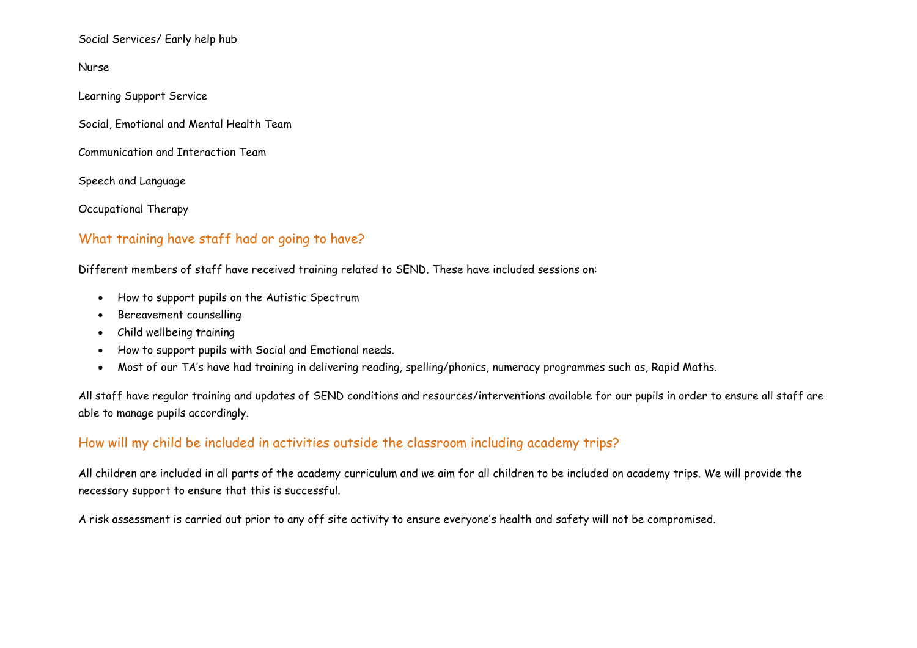Social Services/ Early help hub

Nurse

Learning Support Service

Social, Emotional and Mental Health Team

Communication and Interaction Team

Speech and Language

Occupational Therapy

#### What training have staff had or going to have?

Different members of staff have received training related to SEND. These have included sessions on:

- How to support pupils on the Autistic Spectrum
- Bereavement counselling
- Child wellbeing training
- How to support pupils with Social and Emotional needs.
- Most of our TA's have had training in delivering reading, spelling/phonics, numeracy programmes such as, Rapid Maths.

All staff have regular training and updates of SEND conditions and resources/interventions available for our pupils in order to ensure all staff are able to manage pupils accordingly.

#### How will my child be included in activities outside the classroom including academy trips?

All children are included in all parts of the academy curriculum and we aim for all children to be included on academy trips. We will provide the necessary support to ensure that this is successful.

A risk assessment is carried out prior to any off site activity to ensure everyone's health and safety will not be compromised.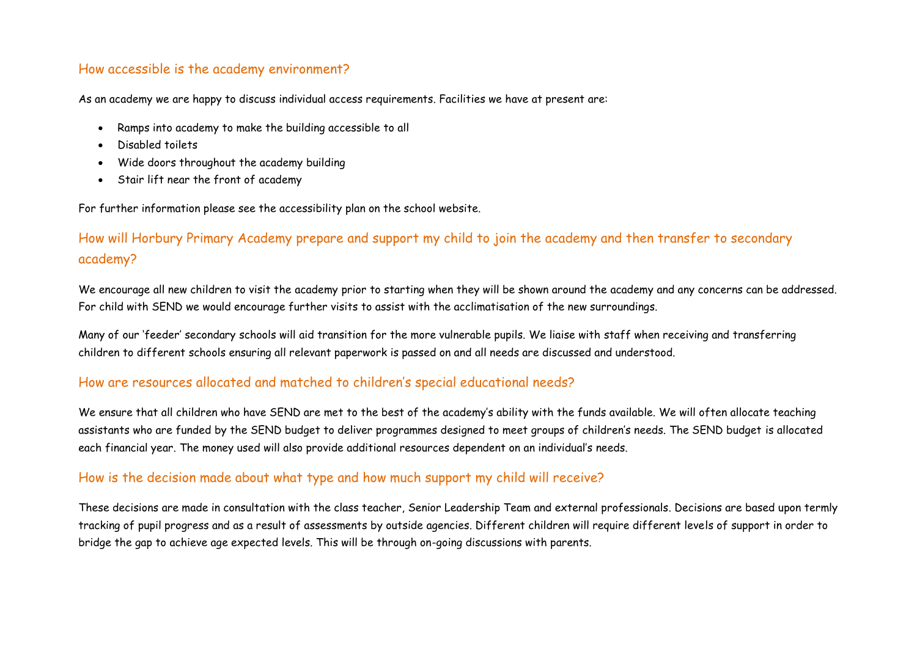#### How accessible is the academy environment?

As an academy we are happy to discuss individual access requirements. Facilities we have at present are:

- Ramps into academy to make the building accessible to all
- Disabled toilets
- Wide doors throughout the academy building
- Stair lift near the front of academy

For further information please see the accessibility plan on the school website.

# How will Horbury Primary Academy prepare and support my child to join the academy and then transfer to secondary academy?

We encourage all new children to visit the academy prior to starting when they will be shown around the academy and any concerns can be addressed. For child with SEND we would encourage further visits to assist with the acclimatisation of the new surroundings.

Many of our 'feeder' secondary schools will aid transition for the more vulnerable pupils. We liaise with staff when receiving and transferring children to different schools ensuring all relevant paperwork is passed on and all needs are discussed and understood.

#### How are resources allocated and matched to children's special educational needs?

We ensure that all children who have SEND are met to the best of the academy's ability with the funds available. We will often allocate teaching assistants who are funded by the SEND budget to deliver programmes designed to meet groups of children's needs. The SEND budget is allocated each financial year. The money used will also provide additional resources dependent on an individual's needs.

#### How is the decision made about what type and how much support my child will receive?

These decisions are made in consultation with the class teacher, Senior Leadership Team and external professionals. Decisions are based upon termly tracking of pupil progress and as a result of assessments by outside agencies. Different children will require different levels of support in order to bridge the gap to achieve age expected levels. This will be through on-going discussions with parents.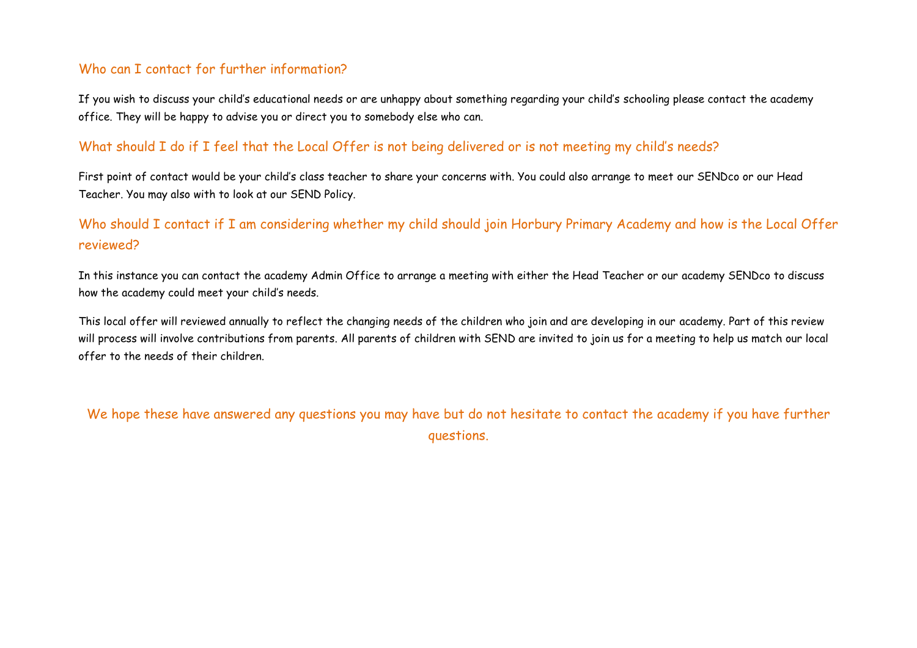# Who can I contact for further information?

If you wish to discuss your child's educational needs or are unhappy about something regarding your child's schooling please contact the academy office. They will be happy to advise you or direct you to somebody else who can.

#### What should I do if I feel that the Local Offer is not being delivered or is not meeting my child's needs?

First point of contact would be your child's class teacher to share your concerns with. You could also arrange to meet our SENDco or our Head Teacher. You may also with to look at our SEND Policy.

# Who should I contact if I am considering whether my child should join Horbury Primary Academy and how is the Local Offer reviewed?

In this instance you can contact the academy Admin Office to arrange a meeting with either the Head Teacher or our academy SENDco to discuss how the academy could meet your child's needs.

This local offer will reviewed annually to reflect the changing needs of the children who join and are developing in our academy. Part of this review will process will involve contributions from parents. All parents of children with SEND are invited to join us for a meeting to help us match our local offer to the needs of their children.

We hope these have answered any questions you may have but do not hesitate to contact the academy if you have further questions.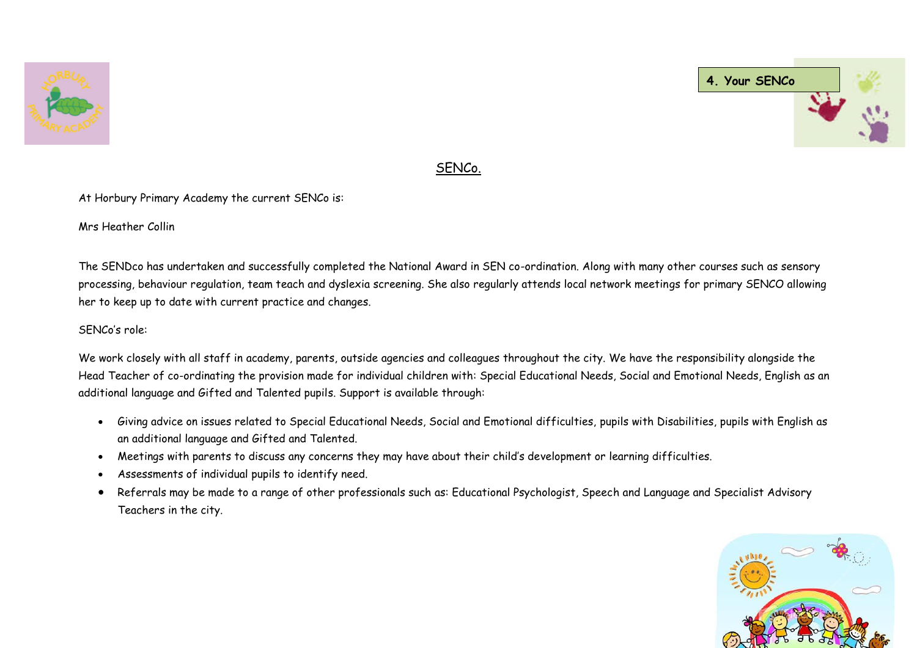



## SENCo.

At Horbury Primary Academy the current SENCo is:

Mrs Heather Collin

The SENDco has undertaken and successfully completed the National Award in SEN co-ordination. Along with many other courses such as sensory processing, behaviour regulation, team teach and dyslexia screening. She also regularly attends local network meetings for primary SENCO allowing her to keep up to date with current practice and changes.

#### SENCo's role:

We work closely with all staff in academy, parents, outside agencies and colleagues throughout the city. We have the responsibility alongside the Head Teacher of co-ordinating the provision made for individual children with: Special Educational Needs, Social and Emotional Needs, English as an additional language and Gifted and Talented pupils. Support is available through:

- Giving advice on issues related to Special Educational Needs, Social and Emotional difficulties, pupils with Disabilities, pupils with English as an additional language and Gifted and Talented.
- Meetings with parents to discuss any concerns they may have about their child's development or learning difficulties.
- Assessments of individual pupils to identify need.
- Referrals may be made to a range of other professionals such as: Educational Psychologist, Speech and Language and Specialist Advisory Teachers in the city.

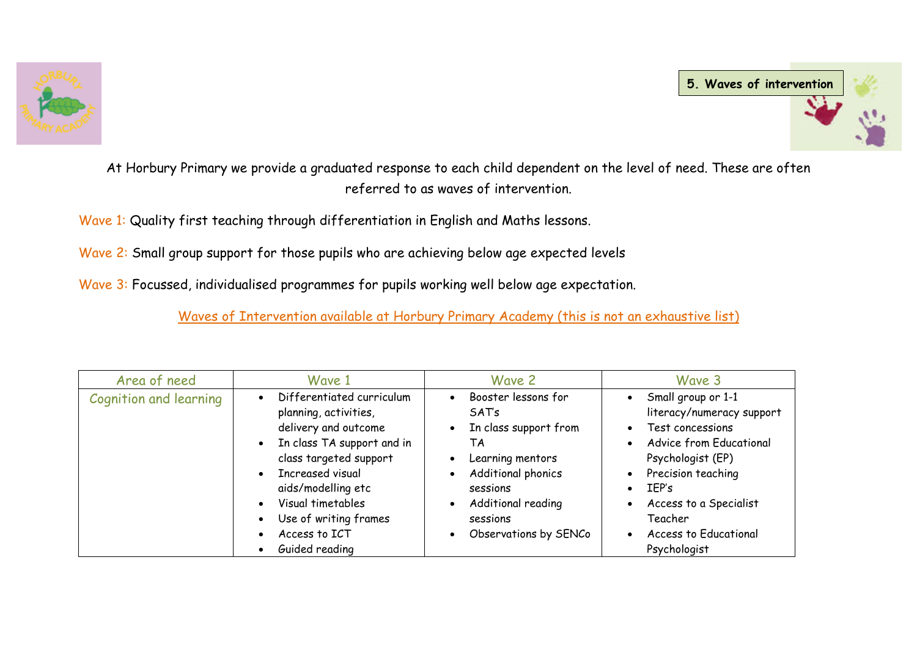



At Horbury Primary we provide a graduated response to each child dependent on the level of need. These are often referred to as waves of intervention.

Wave 1: Quality first teaching through differentiation in English and Maths lessons.

Wave 2: Small group support for those pupils who are achieving below age expected levels

Wave 3: Focussed, individualised programmes for pupils working well below age expectation.

Waves of Intervention available at Horbury Primary Academy (this is not an exhaustive list)

| Area of need                  | Wave 1                                                                                                                                                                                                                                                        | Wave 2                                                                                                                                                                      | Wave 3                                                                                                                                                                                                                                                                                                                                    |
|-------------------------------|---------------------------------------------------------------------------------------------------------------------------------------------------------------------------------------------------------------------------------------------------------------|-----------------------------------------------------------------------------------------------------------------------------------------------------------------------------|-------------------------------------------------------------------------------------------------------------------------------------------------------------------------------------------------------------------------------------------------------------------------------------------------------------------------------------------|
| <b>Cognition and learning</b> | Differentiated curriculum<br>planning, activities,<br>delivery and outcome<br>In class TA support and in<br>class targeted support<br>Increased visual<br>aids/modelling etc<br>Visual timetables<br>Use of writing frames<br>Access to ICT<br>Guided reading | Booster lessons for<br>SATs<br>In class support from<br>TΑ<br>Learning mentors<br>Additional phonics<br>sessions<br>Additional reading<br>sessions<br>Observations by SENCo | Small group or 1-1<br>$\bullet$<br>literacy/numeracy support<br>Test concessions<br>$\bullet$<br><b>Advice from Educational</b><br>$\bullet$<br>Psychologist (EP)<br>Precision teaching<br>$\bullet$<br>IEP's<br>$\bullet$<br>Access to a Specialist<br>$\bullet$<br>Teacher<br><b>Access to Educational</b><br>$\bullet$<br>Psychologist |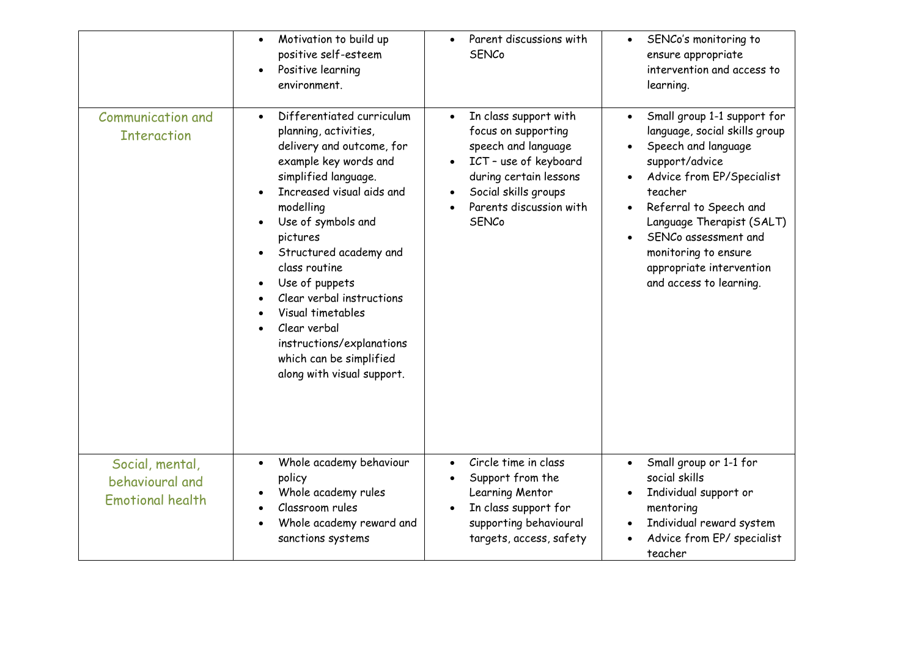|                                                               | Motivation to build up<br>positive self-esteem<br>Positive learning<br>environment.                                                                                                                                                                                                                                                                                                                                               | Parent discussions with<br>$\bullet$<br><b>SENCo</b>                                                                                                                                                   | SENCo's monitoring to<br>$\bullet$<br>ensure appropriate<br>intervention and access to<br>learning.                                                                                                                                                                                                                                   |
|---------------------------------------------------------------|-----------------------------------------------------------------------------------------------------------------------------------------------------------------------------------------------------------------------------------------------------------------------------------------------------------------------------------------------------------------------------------------------------------------------------------|--------------------------------------------------------------------------------------------------------------------------------------------------------------------------------------------------------|---------------------------------------------------------------------------------------------------------------------------------------------------------------------------------------------------------------------------------------------------------------------------------------------------------------------------------------|
| <b>Communication and</b><br><b>Interaction</b>                | Differentiated curriculum<br>planning, activities,<br>delivery and outcome, for<br>example key words and<br>simplified language.<br>Increased visual aids and<br>modelling<br>Use of symbols and<br>pictures<br>Structured academy and<br>class routine<br>Use of puppets<br>Clear verbal instructions<br>Visual timetables<br>Clear verbal<br>instructions/explanations<br>which can be simplified<br>along with visual support. | In class support with<br>$\bullet$<br>focus on supporting<br>speech and language<br>ICT - use of keyboard<br>during certain lessons<br>Social skills groups<br>Parents discussion with<br><b>SENCo</b> | Small group 1-1 support for<br>$\bullet$<br>language, social skills group<br>Speech and language<br>$\bullet$<br>support/advice<br>Advice from EP/Specialist<br>teacher<br>Referral to Speech and<br>Language Therapist (SALT)<br>SENCo assessment and<br>monitoring to ensure<br>appropriate intervention<br>and access to learning. |
| Social, mental,<br>behavioural and<br><b>Emotional health</b> | Whole academy behaviour<br>policy<br>Whole academy rules<br>Classroom rules<br>Whole academy reward and<br>sanctions systems                                                                                                                                                                                                                                                                                                      | Circle time in class<br>$\bullet$<br>Support from the<br>Learning Mentor<br>In class support for<br>supporting behavioural<br>targets, access, safety                                                  | Small group or 1-1 for<br>social skills<br>Individual support or<br>mentoring<br>Individual reward system<br>$\bullet$<br>Advice from EP/ specialist<br>teacher                                                                                                                                                                       |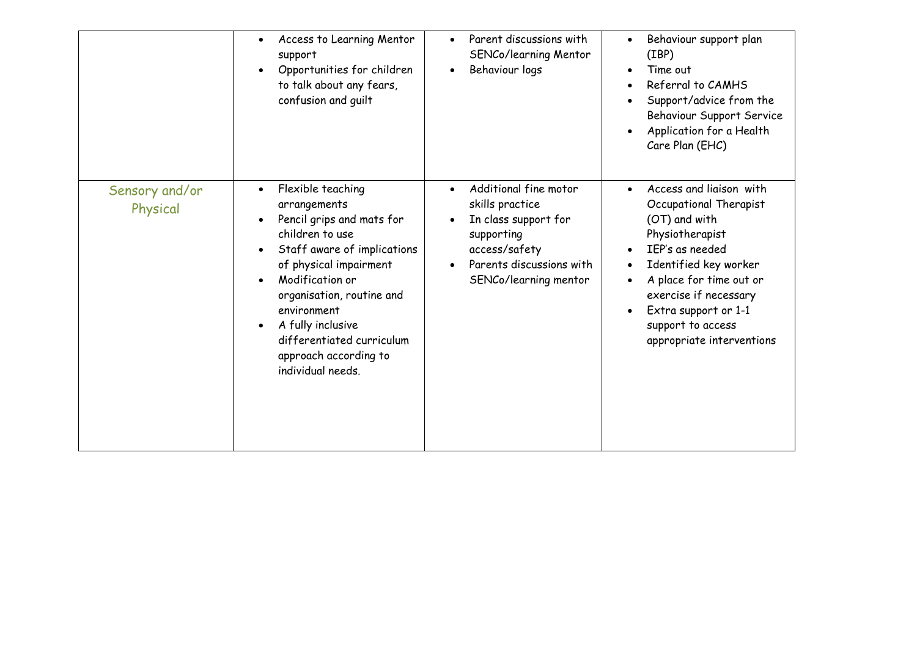|                            | Access to Learning Mentor<br>$\bullet$<br>support<br>Opportunities for children<br>to talk about any fears,<br>confusion and guilt                                                                                                                                                                                     | Parent discussions with<br>$\bullet$<br>SENCo/learning Mentor<br>Behaviour logs<br>$\bullet$                                                         | Behaviour support plan<br>$\bullet$<br>(IBP)<br>Time out<br>Referral to CAMHS<br>Support/advice from the<br>Behaviour Support Service<br>Application for a Health<br>Care Plan (EHC)                                                                                                      |
|----------------------------|------------------------------------------------------------------------------------------------------------------------------------------------------------------------------------------------------------------------------------------------------------------------------------------------------------------------|------------------------------------------------------------------------------------------------------------------------------------------------------|-------------------------------------------------------------------------------------------------------------------------------------------------------------------------------------------------------------------------------------------------------------------------------------------|
| Sensory and/or<br>Physical | Flexible teaching<br>$\bullet$<br>arrangements<br>Pencil grips and mats for<br>children to use<br>Staff aware of implications<br>of physical impairment<br>Modification or<br>organisation, routine and<br>environment<br>A fully inclusive<br>differentiated curriculum<br>approach according to<br>individual needs. | Additional fine motor<br>skills practice<br>In class support for<br>supporting<br>access/safety<br>Parents discussions with<br>SENCo/learning mentor | Access and liaison with<br>$\bullet$<br>Occupational Therapist<br>(OT) and with<br>Physiotherapist<br>IEP's as needed<br>Identified key worker<br>A place for time out or<br>$\bullet$<br>exercise if necessary<br>Extra support or 1-1<br>support to access<br>appropriate interventions |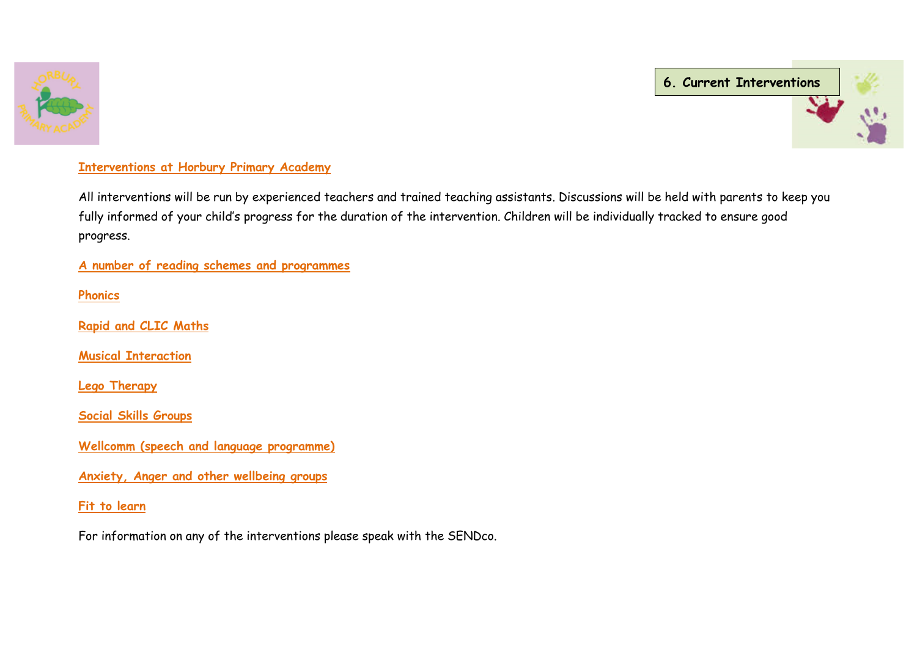



#### **Interventions at Horbury Primary Academy**

All interventions will be run by experienced teachers and trained teaching assistants. Discussions will be held with parents to keep you fully informed of your child's progress for the duration of the intervention. Children will be individually tracked to ensure good progress.

**A number of reading schemes and programmes**

**Phonics**

**Rapid and CLIC Maths**

**Musical Interaction**

**Lego Therapy**

**Social Skills Groups**

**Wellcomm (speech and language programme)** 

**Anxiety, Anger and other wellbeing groups**

**Fit to learn**

For information on any of the interventions please speak with the SENDco.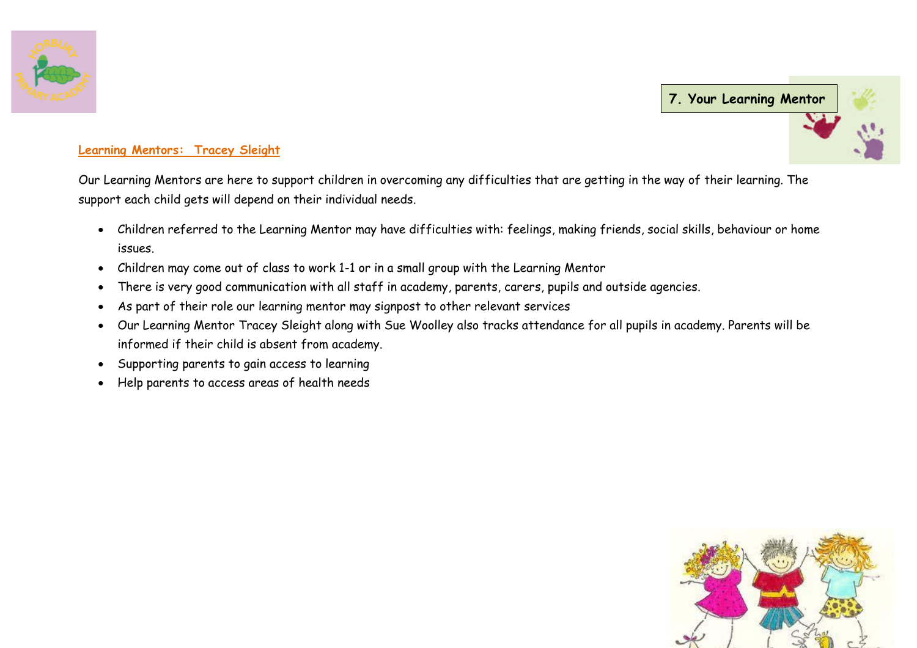

**7. Your Learning [Mentor](http://www.google.co.uk/imgres?imgurl=http://www.horburyprimaryschool.co.uk/images/site/hands.jpg&imgrefurl=http://www.horburyprimaryschool.co.uk/history&h=135&w=180&tbnid=a3KgkYwWT-UJEM:&zoom=1&q=horbury%20primary%20school%20logo&docid=RCud1ixEcvqGQM&ei=W2K-U436G8a10wXY34H4CA&tbm=isch&ved=0CEsQMyggMCA&iact=rc&uact=3&dur=2606&page=2&start=17&ndsp=24)**

#### **Learning Mentors: Tracey Sleight**

Our Learning Mentors are here to support children in overcoming any difficulties that are getting in the way of their learning. The support each child gets will depend on their individual needs.

- Children referred to the Learning Mentor may have difficulties with: feelings, making friends, social skills, behaviour or home issues.
- Children may come out of class to work 1-1 or in a small group with the Learning Mentor
- There is very good communication with all staff in academy, parents, carers, pupils and outside agencies.
- As part of their role our learning mentor may signpost to other relevant services
- Our Learning Mentor Tracey Sleight along with Sue Woolley also tracks attendance for all pupils in academy. Parents will be informed if their child is absent from academy.
- Supporting parents to gain access to learning
- Help parents to access areas of health needs